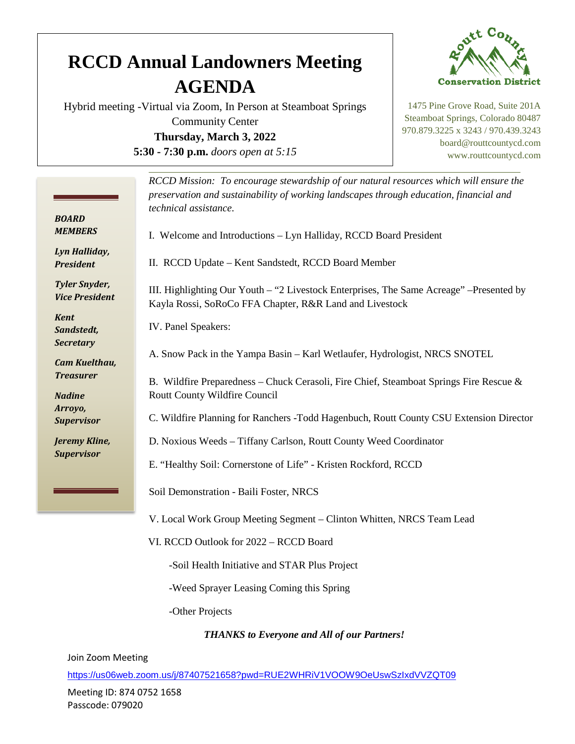## **RCCD Annual Landowners Meeting AGENDA**

Hybrid meeting -Virtual via Zoom, In Person at Steamboat Springs Community Center **Thursday, March 3, 2022 5:30 - 7:30 p.m.** *doors open at 5:15*



1475 Pine Grove Road, Suite 201A Steamboat Springs, Colorado 80487 970.879.3225 x 3243 / 970.439.3243 board@routtcountycd.com www.routtcountycd.com

|                                               | RCCD Mission: To encourage stewardship of our natural resources which will ensure the<br>preservation and sustainability of working landscapes through education, financial and<br>technical assistance. |
|-----------------------------------------------|----------------------------------------------------------------------------------------------------------------------------------------------------------------------------------------------------------|
| <b>BOARD</b><br><b>MEMBERS</b>                | I. Welcome and Introductions - Lyn Halliday, RCCD Board President                                                                                                                                        |
| Lyn Halliday,<br><b>President</b>             | II. RCCD Update - Kent Sandstedt, RCCD Board Member                                                                                                                                                      |
| <b>Tyler Snyder,</b><br><b>Vice President</b> | III. Highlighting Our Youth – "2 Livestock Enterprises, The Same Acreage" –Presented by<br>Kayla Rossi, SoRoCo FFA Chapter, R&R Land and Livestock                                                       |
| <b>Kent</b><br>Sandstedt,                     | IV. Panel Speakers:                                                                                                                                                                                      |
| <b>Secretary</b><br><b>Cam Kuelthau,</b>      | A. Snow Pack in the Yampa Basin - Karl Wetlaufer, Hydrologist, NRCS SNOTEL                                                                                                                               |
| <b>Treasurer</b><br><b>Nadine</b>             | B. Wildfire Preparedness - Chuck Cerasoli, Fire Chief, Steamboat Springs Fire Rescue &<br>Routt County Wildfire Council                                                                                  |
| Arroyo,<br><b>Supervisor</b>                  | C. Wildfire Planning for Ranchers -Todd Hagenbuch, Routt County CSU Extension Director                                                                                                                   |
| Jeremy Kline,<br><b>Supervisor</b>            | D. Noxious Weeds - Tiffany Carlson, Routt County Weed Coordinator                                                                                                                                        |
|                                               | E. "Healthy Soil: Cornerstone of Life" - Kristen Rockford, RCCD<br>Soil Demonstration - Baili Foster, NRCS                                                                                               |
|                                               | V. Local Work Group Meeting Segment – Clinton Whitten, NRCS Team Lead                                                                                                                                    |
|                                               | VI. RCCD Outlook for 2022 - RCCD Board                                                                                                                                                                   |
|                                               | -Soil Health Initiative and STAR Plus Project                                                                                                                                                            |
|                                               | -Weed Sprayer Leasing Coming this Spring                                                                                                                                                                 |
|                                               | -Other Projects                                                                                                                                                                                          |

*THANKS to Everyone and All of our Partners!*

Join Zoom Meeting

<https://us06web.zoom.us/j/87407521658?pwd=RUE2WHRiV1VOOW9OeUswSzIxdVVZQT09>